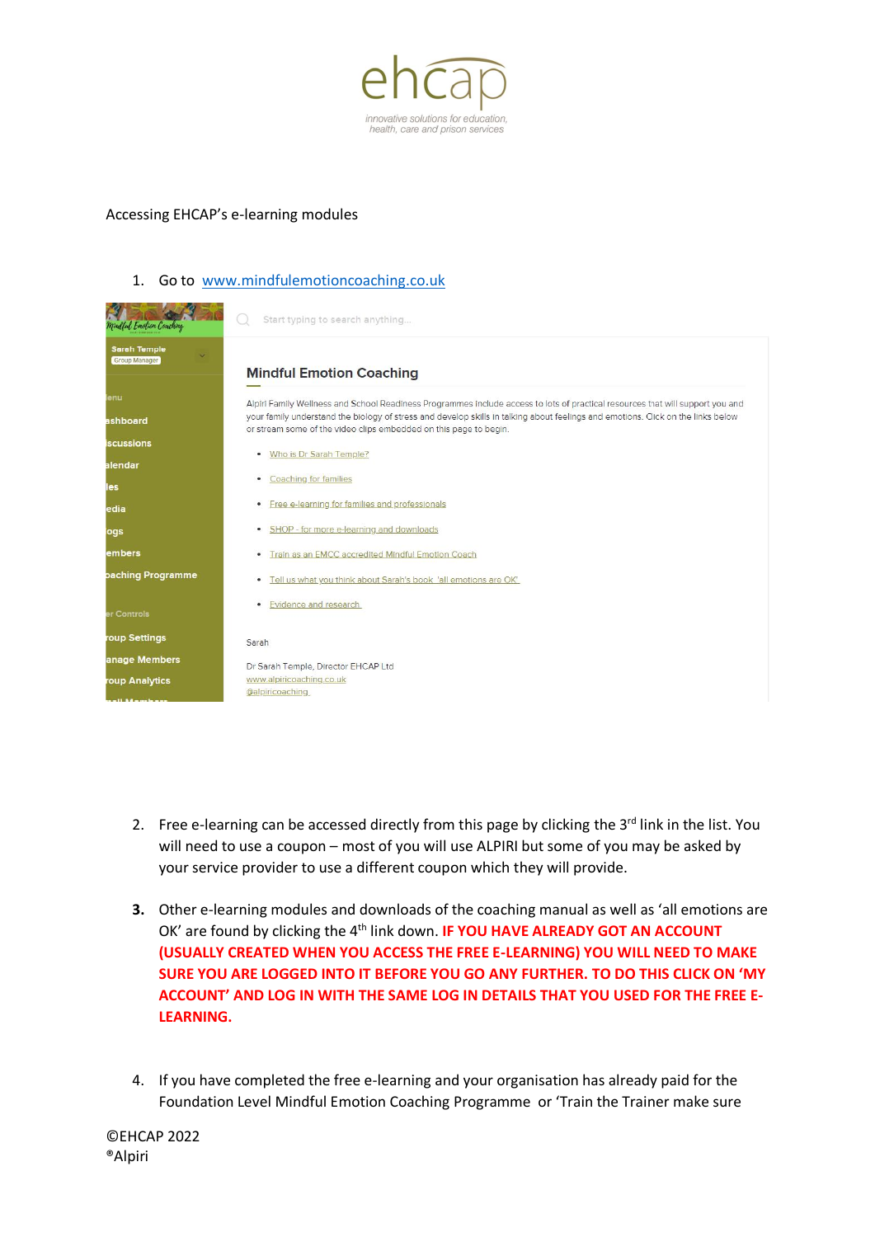

## Accessing EHCAP's e-learning modules

## 1. Go to [www.mindfulemotioncoaching.co.uk](http://www.mindfulemotioncoaching.co.uk/)

| Mindful Emotion Coaching                    | Start typing to search anything                                                                                                                                                                       |
|---------------------------------------------|-------------------------------------------------------------------------------------------------------------------------------------------------------------------------------------------------------|
| <b>Sarah Temple</b><br><b>Group Manager</b> |                                                                                                                                                                                                       |
|                                             | <b>Mindful Emotion Coaching</b>                                                                                                                                                                       |
| enu                                         | Alpiri Family Wellness and School Readiness Programmes include access to lots of practical resources that will support you and                                                                        |
| ashboard                                    | your family understand the biology of stress and develop skills in talking about feelings and emotions. Click on the links below<br>or stream some of the video clips embedded on this page to begin. |
| <b>iscussions</b>                           | Who is Dr Sarah Temple?<br>٠                                                                                                                                                                          |
| alendar                                     |                                                                                                                                                                                                       |
| les                                         | <b>Coaching for families</b><br>٠                                                                                                                                                                     |
| edia                                        | Free e-learning for families and professionals<br>٠                                                                                                                                                   |
| ogs                                         | SHOP - for more e-learning and downloads<br>$\bullet$                                                                                                                                                 |
| embers                                      | Train as an EMCC accredited Mindful Emotion Coach<br>٠                                                                                                                                                |
| paching Programme                           | Tell us what you think about Sarah's book 'all emotions are OK'<br>٠                                                                                                                                  |
| er Controls                                 | Evidence and research<br>٠                                                                                                                                                                            |
| roup Settings                               | Sarah                                                                                                                                                                                                 |
| anage Members                               | Dr Sarah Temple, Director EHCAP Ltd                                                                                                                                                                   |
| roup Analytics                              | www.alpiricoaching.co.uk                                                                                                                                                                              |
|                                             | @alpiricoaching                                                                                                                                                                                       |

- 2. Free e-learning can be accessed directly from this page by clicking the  $3<sup>rd</sup>$  link in the list. You will need to use a coupon – most of you will use ALPIRI but some of you may be asked by your service provider to use a different coupon which they will provide.
- **3.** Other e-learning modules and downloads of the coaching manual as well as 'all emotions are OK' are found by clicking the 4<sup>th</sup> link down. **IF YOU HAVE ALREADY GOT AN ACCOUNT (USUALLY CREATED WHEN YOU ACCESS THE FREE E-LEARNING) YOU WILL NEED TO MAKE SURE YOU ARE LOGGED INTO IT BEFORE YOU GO ANY FURTHER. TO DO THIS CLICK ON 'MY ACCOUNT' AND LOG IN WITH THE SAME LOG IN DETAILS THAT YOU USED FOR THE FREE E-LEARNING.**
- 4. If you have completed the free e-learning and your organisation has already paid for the Foundation Level Mindful Emotion Coaching Programme or 'Train the Trainer make sure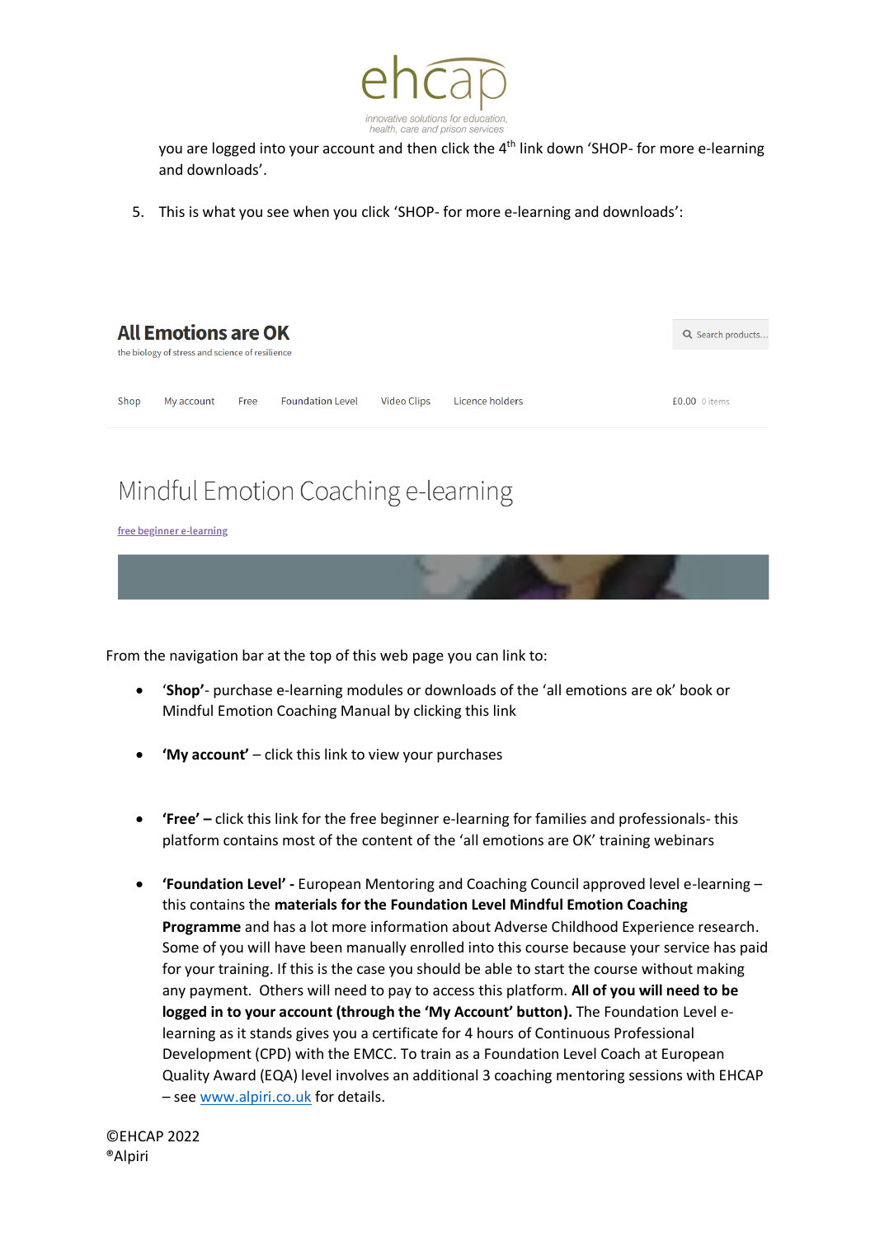

you are logged into your account and then click the 4<sup>th</sup> link down 'SHOP- for more e-learning and downloads'.

5. This is what you see when you click 'SHOP- for more e-learning and downloads':



## Mindful Emotion Coaching e-learning

free beginner e-learning



From the navigation bar at the top of this web page you can link to:

- '**Shop'** purchase e-learning modules or downloads of the 'all emotions are ok' book or Mindful Emotion Coaching Manual by clicking this link
- **'My account'** click this link to view your purchases
- **'Free' –** click this link for the free beginner e-learning for families and professionals- this platform contains most of the content of the 'all emotions are OK' training webinars
- **'Foundation Level' -** European Mentoring and Coaching Council approved level e-learning this contains the **materials for the Foundation Level Mindful Emotion Coaching Programme** and has a lot more information about Adverse Childhood Experience research. Some of you will have been manually enrolled into this course because your service has paid for your training. If this is the case you should be able to start the course without making any payment. Others will need to pay to access this platform. **All of you will need to be logged in to your account (through the 'My Account' button).** The Foundation Level elearning as it stands gives you a certificate for 4 hours of Continuous Professional Development (CPD) with the EMCC. To train as a Foundation Level Coach at European Quality Award (EQA) level involves an additional 3 coaching mentoring sessions with EHCAP – see [www.alpiri.co.uk](http://www.alpiri.co.uk/) for details.